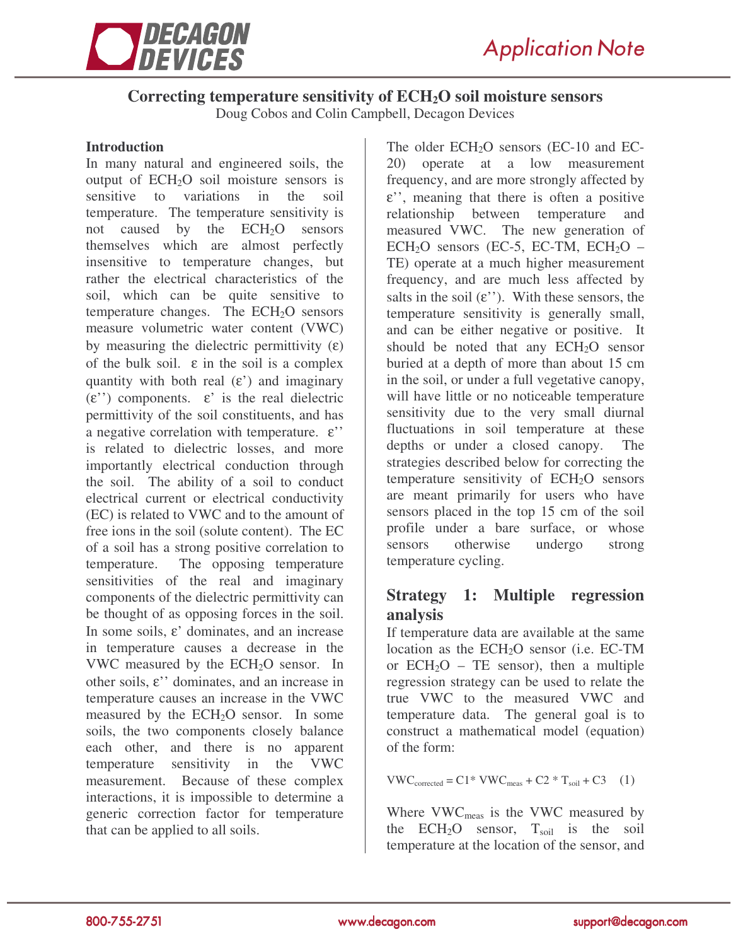

# **Correcting temperature sensitivity of ECH2O soil moisture sensors**

Doug Cobos and Colin Campbell, Decagon Devices

### **Introduction**

In many natural and engineered soils, the output of  $ECH<sub>2</sub>O$  soil moisture sensors is sensitive to variations in the soil temperature. The temperature sensitivity is not caused by the  $ECH<sub>2</sub>O$  sensors themselves which are almost perfectly insensitive to temperature changes, but rather the electrical characteristics of the soil, which can be quite sensitive to temperature changes. The  $ECH<sub>2</sub>O$  sensors measure volumetric water content (VWC) by measuring the dielectric permittivity  $(\epsilon)$ of the bulk soil.  $\varepsilon$  in the soil is a complex quantity with both real  $(\varepsilon')$  and imaginary  $(\varepsilon'')$  components.  $\varepsilon'$  is the real dielectric permittivity of the soil constituents, and has a negative correlation with temperature. ε'' is related to dielectric losses, and more importantly electrical conduction through the soil. The ability of a soil to conduct electrical current or electrical conductivity (EC) is related to VWC and to the amount of free ions in the soil (solute content). The EC of a soil has a strong positive correlation to temperature. The opposing temperature sensitivities of the real and imaginary components of the dielectric permittivity can be thought of as opposing forces in the soil. In some soils, ε' dominates, and an increase in temperature causes a decrease in the VWC measured by the  $ECH<sub>2</sub>O$  sensor. In other soils, ε'' dominates, and an increase in temperature causes an increase in the VWC measured by the  $ECH<sub>2</sub>O$  sensor. In some soils, the two components closely balance each other, and there is no apparent temperature sensitivity in the VWC measurement. Because of these complex interactions, it is impossible to determine a generic correction factor for temperature that can be applied to all soils.

The older ECH<sub>2</sub>O sensors (EC-10 and EC-20) operate at a low measurement frequency, and are more strongly affected by ε'', meaning that there is often a positive relationship between temperature and measured VWC. The new generation of  $ECH<sub>2</sub>O$  sensors (EC-5, EC-TM,  $ECH<sub>2</sub>O -$ TE) operate at a much higher measurement frequency, and are much less affected by salts in the soil  $(\varepsilon'')$ . With these sensors, the temperature sensitivity is generally small, and can be either negative or positive. It should be noted that any  $ECH<sub>2</sub>O$  sensor buried at a depth of more than about 15 cm in the soil, or under a full vegetative canopy, will have little or no noticeable temperature sensitivity due to the very small diurnal fluctuations in soil temperature at these depths or under a closed canopy. The strategies described below for correcting the temperature sensitivity of  $ECH<sub>2</sub>O$  sensors are meant primarily for users who have sensors placed in the top 15 cm of the soil profile under a bare surface, or whose sensors otherwise undergo strong temperature cycling.

## **Strategy 1: Multiple regression analysis**

If temperature data are available at the same location as the  $ECH<sub>2</sub>O$  sensor (i.e.  $EC-TM$ or  $ECH<sub>2</sub>O - TE$  sensor), then a multiple regression strategy can be used to relate the true VWC to the measured VWC and temperature data. The general goal is to construct a mathematical model (equation) of the form:

$$
VWC_{\text{corrected}} = C1 * VWC_{\text{meas}} + C2 * T_{\text{soil}} + C3 \quad (1)
$$

Where VWC<sub>meas</sub> is the VWC measured by the ECH<sub>2</sub>O sensor,  $T_{\text{coil}}$  is the soil temperature at the location of the sensor, and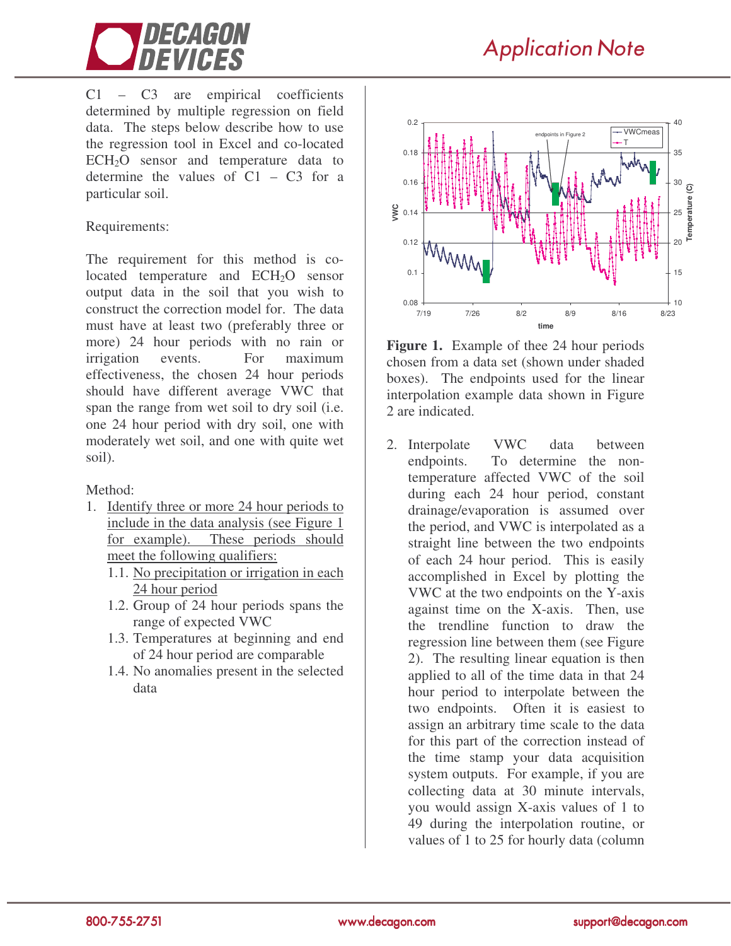

**Application Note** 

C1 – C3 are empirical coefficients determined by multiple regression on field data. The steps below describe how to use the regression tool in Excel and co-located  $ECH<sub>2</sub>O$  sensor and temperature data to determine the values of  $C1 - C3$  for a particular soil.

#### Requirements:

The requirement for this method is colocated temperature and ECH<sub>2</sub>O sensor output data in the soil that you wish to construct the correction model for. The data must have at least two (preferably three or more) 24 hour periods with no rain or irrigation events. For maximum effectiveness, the chosen 24 hour periods should have different average VWC that span the range from wet soil to dry soil (i.e. one 24 hour period with dry soil, one with moderately wet soil, and one with quite wet soil).

Method:

- 1. Identify three or more 24 hour periods to include in the data analysis (see Figure 1 for example). These periods should meet the following qualifiers:
	- 1.1. No precipitation or irrigation in each 24 hour period
	- 1.2. Group of 24 hour periods spans the range of expected VWC
	- 1.3. Temperatures at beginning and end of 24 hour period are comparable
	- 1.4. No anomalies present in the selected data



**Figure 1.** Example of thee 24 hour periods chosen from a data set (shown under shaded boxes). The endpoints used for the linear interpolation example data shown in Figure 2 are indicated.

2. Interpolate VWC data between endpoints. To determine the nontemperature affected VWC of the soil during each 24 hour period, constant drainage/evaporation is assumed over the period, and VWC is interpolated as a straight line between the two endpoints of each 24 hour period. This is easily accomplished in Excel by plotting the VWC at the two endpoints on the Y-axis against time on the X-axis. Then, use the trendline function to draw the regression line between them (see Figure 2). The resulting linear equation is then applied to all of the time data in that 24 hour period to interpolate between the two endpoints. Often it is easiest to assign an arbitrary time scale to the data for this part of the correction instead of the time stamp your data acquisition system outputs. For example, if you are collecting data at 30 minute intervals, you would assign X-axis values of 1 to 49 during the interpolation routine, or values of 1 to 25 for hourly data (column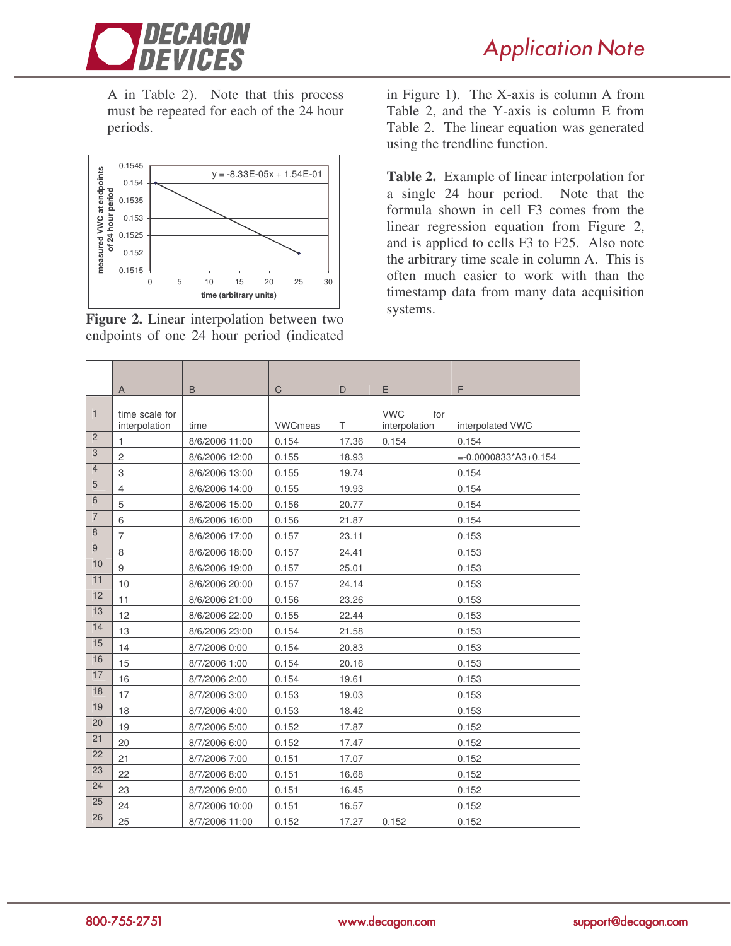

**Application Note** 

A in Table 2). Note that this process must be repeated for each of the 24 hour periods.



**Figure 2.** Linear interpolation between two endpoints of one 24 hour period (indicated

in Figure 1). The X-axis is column A from Table 2, and the Y-axis is column E from Table 2. The linear equation was generated using the trendline function.

**Table 2.** Example of linear interpolation for a single 24 hour period. Note that the formula shown in cell F3 comes from the linear regression equation from Figure 2, and is applied to cells F3 to F25. Also note the arbitrary time scale in column A. This is often much easier to work with than the timestamp data from many data acquisition systems.

|                | A                               | B              | $\mathsf{C}$   | D     | E                                  | F                        |
|----------------|---------------------------------|----------------|----------------|-------|------------------------------------|--------------------------|
| $\mathbf{1}$   | time scale for<br>interpolation | time           | <b>VWCmeas</b> | T     | <b>VWC</b><br>for<br>interpolation | interpolated VWC         |
| $\overline{2}$ | 1                               | 8/6/2006 11:00 | 0.154          | 17.36 | 0.154                              | 0.154                    |
| 3              | $\overline{c}$                  | 8/6/2006 12:00 | 0.155          | 18.93 |                                    | $= -0.0000833^*A3+0.154$ |
| $\overline{4}$ | 3                               | 8/6/2006 13:00 | 0.155          | 19.74 |                                    | 0.154                    |
| 5              | $\overline{4}$                  | 8/6/2006 14:00 | 0.155          | 19.93 |                                    | 0.154                    |
| 6              | 5                               | 8/6/2006 15:00 | 0.156          | 20.77 |                                    | 0.154                    |
| $\overline{7}$ | 6                               | 8/6/2006 16:00 | 0.156          | 21.87 |                                    | 0.154                    |
| 8              | $\overline{7}$                  | 8/6/2006 17:00 | 0.157          | 23.11 |                                    | 0.153                    |
| 9              | 8                               | 8/6/2006 18:00 | 0.157          | 24.41 |                                    | 0.153                    |
| 10             | 9                               | 8/6/2006 19:00 | 0.157          | 25.01 |                                    | 0.153                    |
| 11             | 10                              | 8/6/2006 20:00 | 0.157          | 24.14 |                                    | 0.153                    |
| 12             | 11                              | 8/6/2006 21:00 | 0.156          | 23.26 |                                    | 0.153                    |
| 13             | 12                              | 8/6/2006 22:00 | 0.155          | 22.44 |                                    | 0.153                    |
| 14             | 13                              | 8/6/2006 23:00 | 0.154          | 21.58 |                                    | 0.153                    |
| 15             | 14                              | 8/7/2006 0:00  | 0.154          | 20.83 |                                    | 0.153                    |
| 16             | 15                              | 8/7/2006 1:00  | 0.154          | 20.16 |                                    | 0.153                    |
| 17             | 16                              | 8/7/2006 2:00  | 0.154          | 19.61 |                                    | 0.153                    |
| 18             | 17                              | 8/7/2006 3:00  | 0.153          | 19.03 |                                    | 0.153                    |
| 19             | 18                              | 8/7/2006 4:00  | 0.153          | 18.42 |                                    | 0.153                    |
| 20             | 19                              | 8/7/2006 5:00  | 0.152          | 17.87 |                                    | 0.152                    |
| 21             | 20                              | 8/7/2006 6:00  | 0.152          | 17.47 |                                    | 0.152                    |
| 22             | 21                              | 8/7/2006 7:00  | 0.151          | 17.07 |                                    | 0.152                    |
| 23             | 22                              | 8/7/2006 8:00  | 0.151          | 16.68 |                                    | 0.152                    |
| 24             | 23                              | 8/7/2006 9:00  | 0.151          | 16.45 |                                    | 0.152                    |
| 25             | 24                              | 8/7/2006 10:00 | 0.151          | 16.57 |                                    | 0.152                    |
| 26             | 25                              | 8/7/2006 11:00 | 0.152          | 17.27 | 0.152                              | 0.152                    |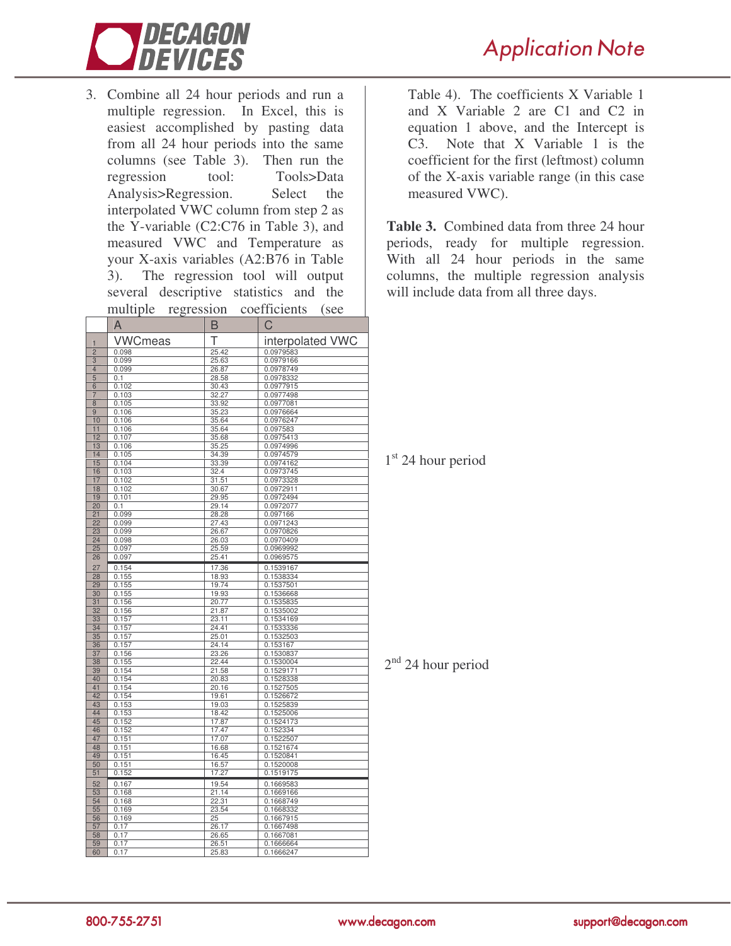

3. Combine all 24 hour periods and run a multiple regression. In Excel, this is easiest accomplished by pasting data from all 24 hour periods into the same columns (see Table 3). Then run the regression tool: Tools>Data Analysis>Regression. Select the interpolated VWC column from step 2 as the Y-variable (C2:C76 in Table 3), and measured VWC and Temperature as your X-axis variables (A2:B76 in Table 3). The regression tool will output several descriptive statistics and the multiple regression coefficients (see

|                       | A              | B              | C                      |
|-----------------------|----------------|----------------|------------------------|
| 1                     | <b>VWCmeas</b> | Т              | interpolated VWC       |
| $\overline{2}$        | 0.098          | 25.42          | 0.0979583              |
| 3                     | 0.099          | 25.63          | 0.0979166              |
| $\overline{4}$        | 0.099          | 26.87          | 0.0978749              |
| 5                     | 0.1            | 28.58          | 0.0978332              |
| 6                     | 0.102          | 30.43          | 0.0977915              |
| 7                     | 0.103          | 32.27          | 0.0977498              |
| 8                     | 0.105          | 33.92          | 0.0977081              |
| 9                     | 0.106          | 35.23          | 0.0976664              |
| 10                    | 0.106          | 35.64          | 0.0976247              |
| 11                    | 0.106          | 35.64          | 0.097583               |
| 12                    | 0.107          | 35.68          | 0.0975413              |
| 13                    | 0.106          | 35.25          | 0.0974996              |
| 14                    | 0.105          | 34.39          | 0.0974579              |
| 15                    | 0.104          | 33.39          | 0.0974162              |
| 16                    | 0.103          | 32.4           | 0.0973745              |
| 17                    | 0.102          | 31.51          | 0.0973328              |
| 18                    | 0.102          | 30.67          | 0.0972911              |
| 19                    | 0.101          | 29.95          | 0.0972494              |
| 20                    | 0.1            | 29.14          | 0.0972077              |
| 21<br>$\overline{22}$ | 0.099<br>0.099 | 28.28<br>27.43 | 0.097166<br>0.0971243  |
| 23                    | 0.099          | 26.67          | 0.0970826              |
| $\overline{24}$       | 0.098          | 26.03          | 0.0970409              |
| 25                    | 0.097          | 25.59          | 0.0969992              |
| 26                    | 0.097          | 25.41          | 0.0969575              |
|                       |                |                |                        |
| 27<br>28              | 0.154<br>0.155 | 17.36<br>18.93 | 0.1539167<br>0.1538334 |
| 29                    | 0.155          | 19.74          | 0.1537501              |
| 30                    | 0.155          | 19.93          | 0.1536668              |
| 31                    | 0.156          | 20.77          | 0.1535835              |
| 32                    | 0.156          | 21.87          | 0.1535002              |
| 33                    | 0.157          | 23.11          | 0.1534169              |
| 34                    | 0.157          | 24.41          | 0.1533336              |
| 35                    | 0.157          | 25.01          | 0.1532503              |
| 36                    | 0.157          | 24.14          | 0.153167               |
| 37                    | 0.156          | 23.26          | 0.1530837              |
| 38                    | 0.155          | 22.44          | 0.1530004              |
| 39                    | 0.154          | 21.58          | 0.1529171              |
| 40                    | 0.154          | 20.83          | 0.1528338              |
| 41                    | 0.154          | 20.16          | 0.1527505              |
| 42                    | 0.154          | 19.61          | 0.1526672              |
| 43                    | 0.153          | 19.03          | 0.1525839              |
| 44<br>45              | 0.153          | 18.42<br>17.87 | 0.1525006<br>0.1524173 |
| 46                    | 0.152<br>0.152 | 17.47          | 0.152334               |
| 47                    | 0.151          | 17.07          | 0.1522507              |
| 48                    | 0.151          | 16.68          | 0.1521674              |
| 49                    | 0.151          | 16.45          | 0.1520841              |
| 50                    | 0.151          | 16.57          | 0.1520008              |
| 51                    | 0.152          | 17.27          | 0.1519175              |
| 52                    | 0.167          | 19.54          | 0.1669583              |
| 53                    | 0.168          | 21.14          | 0.1669166              |
| 54                    | 0.168          | 22.31          | 0.1668749              |
| 55                    | 0.169          | 23.54          | 0.1668332              |
| 56                    | 0.169          | 25             | 0.1667915              |
| 57                    | 0.17           | 26.17          | 0.1667498              |
| 58                    | 0.17           | 26.65          | 0.1667081              |
| 59                    | 0.17           | 26.51          | 0.1666664              |
| 60                    | 0.17           | 25.83          | 0.1666247              |

Table 4). The coefficients X Variable 1 and X Variable 2 are C1 and C2 in equation 1 above, and the Intercept is C3. Note that X Variable 1 is the coefficient for the first (leftmost) column of the X-axis variable range (in this case measured VWC).

**Table 3.** Combined data from three 24 hour periods, ready for multiple regression. With all 24 hour periods in the same columns, the multiple regression analysis will include data from all three days.

1<sup>st</sup> 24 hour period

 $2<sup>nd</sup>$  24 hour period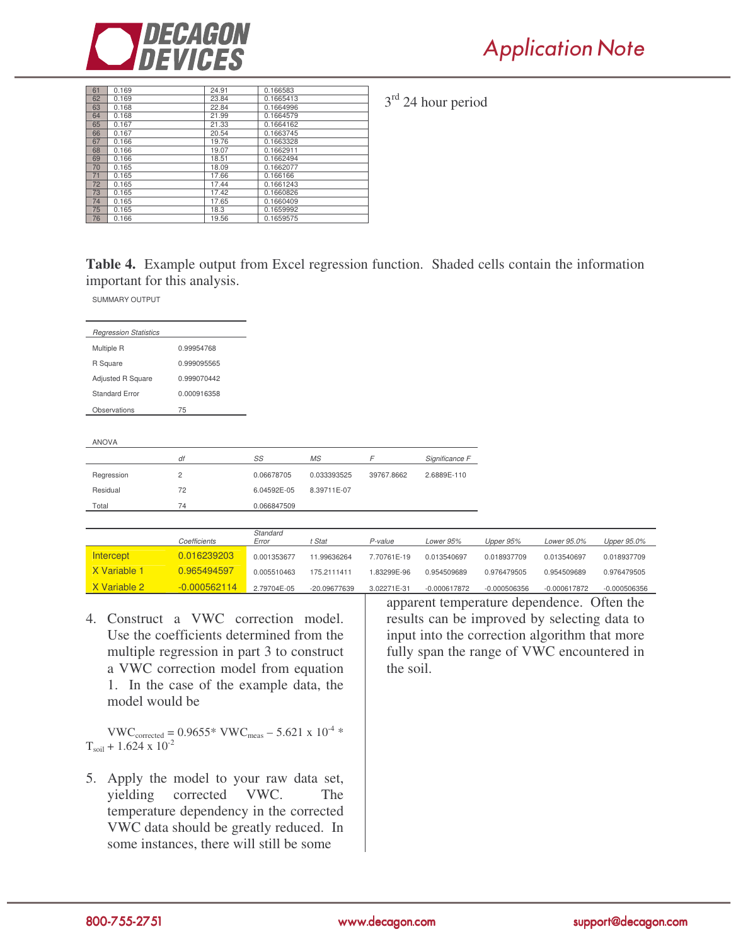

| 61 | 0.169 | 24.91 | 0.166583  |
|----|-------|-------|-----------|
| 62 | 0.169 | 23.84 | 0.1665413 |
| 63 | 0.168 | 22.84 | 0.1664996 |
| 64 | 0.168 | 21.99 | 0.1664579 |
| 65 | 0.167 | 21.33 | 0.1664162 |
| 66 | 0.167 | 20.54 | 0.1663745 |
| 67 | 0.166 | 19.76 | 0.1663328 |
| 68 | 0.166 | 19.07 | 0.1662911 |
| 69 | 0.166 | 18.51 | 0.1662494 |
| 70 | 0.165 | 18.09 | 0.1662077 |
| 71 | 0.165 | 17.66 | 0.166166  |
| 72 | 0.165 | 17.44 | 0.1661243 |
| 73 | 0.165 | 17.42 | 0.1660826 |
| 74 | 0.165 | 17.65 | 0.1660409 |
| 75 | 0.165 | 18.3  | 0.1659992 |
| 76 | 0.166 | 19.56 | 0.1659575 |

3<sup>rd</sup> 24 hour period

**Table 4.** Example output from Excel regression function. Shaded cells contain the information important for this analysis.

SUMMARY OUTPUT

| <b>Regression Statistics</b> |             |
|------------------------------|-------------|
| Multiple R                   | 0.99954768  |
| R Square                     | 0.999095565 |
| <b>Adjusted R Square</b>     | 0.999070442 |
| Standard Frror               | 0.000916358 |
| Observations                 | 75          |
|                              |             |

ANOVA

|            | df | SS          | MS          |            | Significance F |
|------------|----|-------------|-------------|------------|----------------|
| Regression |    | 0.06678705  | 0.033393525 | 39767.8662 | 2.6889E-110    |
| Residual   | 72 | 6.04592E-05 | 8.39711E-07 |            |                |
| Total      | 74 | 0.066847509 |             |            |                |

|              | Coefficients   | Standard<br>Error | t Stat       | P-value     | Lower 95%      | Upper 95%      | Lower 95.0%    | Upper 95.0%  |
|--------------|----------------|-------------------|--------------|-------------|----------------|----------------|----------------|--------------|
| Intercept    | 0.016239203    | 0.001353677       | 11.99636264  | 7.70761E-19 | 0.013540697    | 0.018937709    | 0.013540697    | 0.018937709  |
| X Variable 1 | 0.965494597    | 0.005510463       | 175.2111411  | L83299E-96  | 0.954509689    | 0.976479505    | 0.954509689    | 0.976479505  |
| X Variable 2 | $-0.000562114$ | 2.79704E-05       | -20.09677639 | 3.02271E-31 | $-0.000617872$ | $-0.000506356$ | $-0.000617872$ | -0.000506356 |

4. Construct a VWC correction model. Use the coefficients determined from the multiple regression in part 3 to construct a VWC correction model from equation 1. In the case of the example data, the model would be

 $VWC_{corrected} = 0.9655* VWC_{meas} - 5.621 \times 10^{-4} *$  $T_{\text{soil}} + 1.624 \times 10^{-2}$ 

5. Apply the model to your raw data set, yielding corrected VWC. The temperature dependency in the corrected VWC data should be greatly reduced. In some instances, there will still be some

apparent temperature dependence. Often the results can be improved by selecting data to input into the correction algorithm that more fully span the range of VWC encountered in the soil.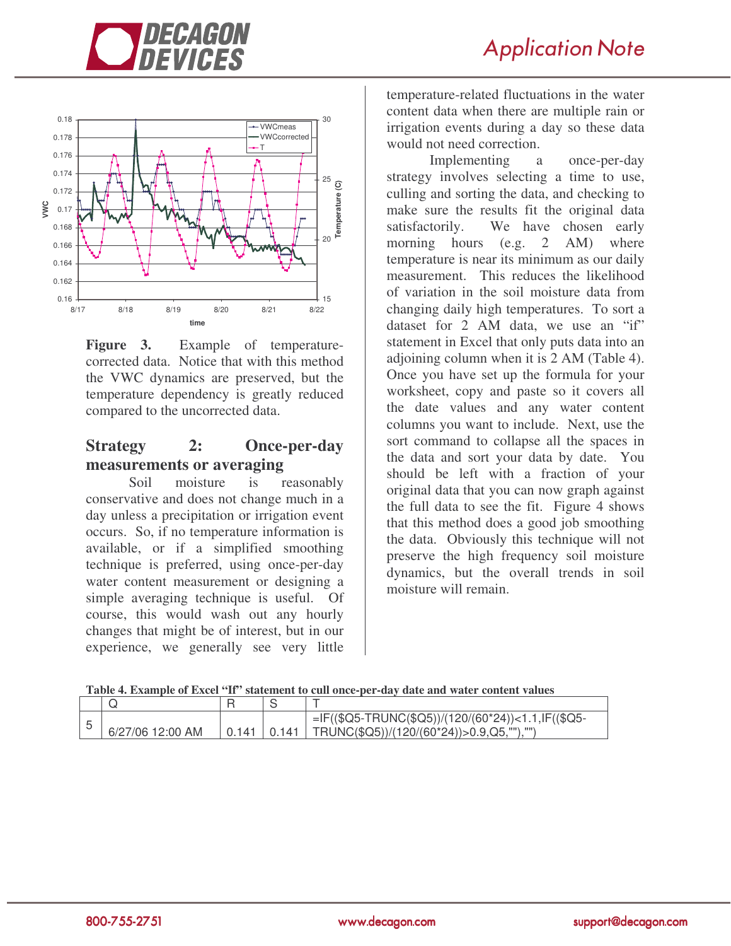



**Figure 3.** Example of temperaturecorrected data. Notice that with this method the VWC dynamics are preserved, but the temperature dependency is greatly reduced compared to the uncorrected data.

## **Strategy 2: Once-per-day measurements or averaging**

Soil moisture is reasonably conservative and does not change much in a day unless a precipitation or irrigation event occurs. So, if no temperature information is available, or if a simplified smoothing technique is preferred, using once-per-day water content measurement or designing a simple averaging technique is useful. Of course, this would wash out any hourly changes that might be of interest, but in our experience, we generally see very little

temperature-related fluctuations in the water content data when there are multiple rain or irrigation events during a day so these data would not need correction.

Implementing a once-per-day strategy involves selecting a time to use, culling and sorting the data, and checking to make sure the results fit the original data satisfactorily. We have chosen early morning hours (e.g. 2 AM) where temperature is near its minimum as our daily measurement. This reduces the likelihood of variation in the soil moisture data from changing daily high temperatures. To sort a dataset for 2 AM data, we use an "if" statement in Excel that only puts data into an adjoining column when it is 2 AM (Table 4). Once you have set up the formula for your worksheet, copy and paste so it covers all the date values and any water content columns you want to include. Next, use the sort command to collapse all the spaces in the data and sort your data by date. You should be left with a fraction of your original data that you can now graph against the full data to see the fit. Figure 4 shows that this method does a good job smoothing the data. Obviously this technique will not preserve the high frequency soil moisture dynamics, but the overall trends in soil moisture will remain.

#### **Table 4. Example of Excel "If" statement to cull once-per-day date and water content values**

| 6/27/06 12:00 AM | 0.141 | $=$ IF((\$Q5-TRUNC(\$Q5))/(120/(60*24))<1.1,IF((\$Q5-<br>$\vert$ 0.141   TRUNC(\$Q5))/(120/(60*24))>0.9,Q5,""),"") |
|------------------|-------|--------------------------------------------------------------------------------------------------------------------|